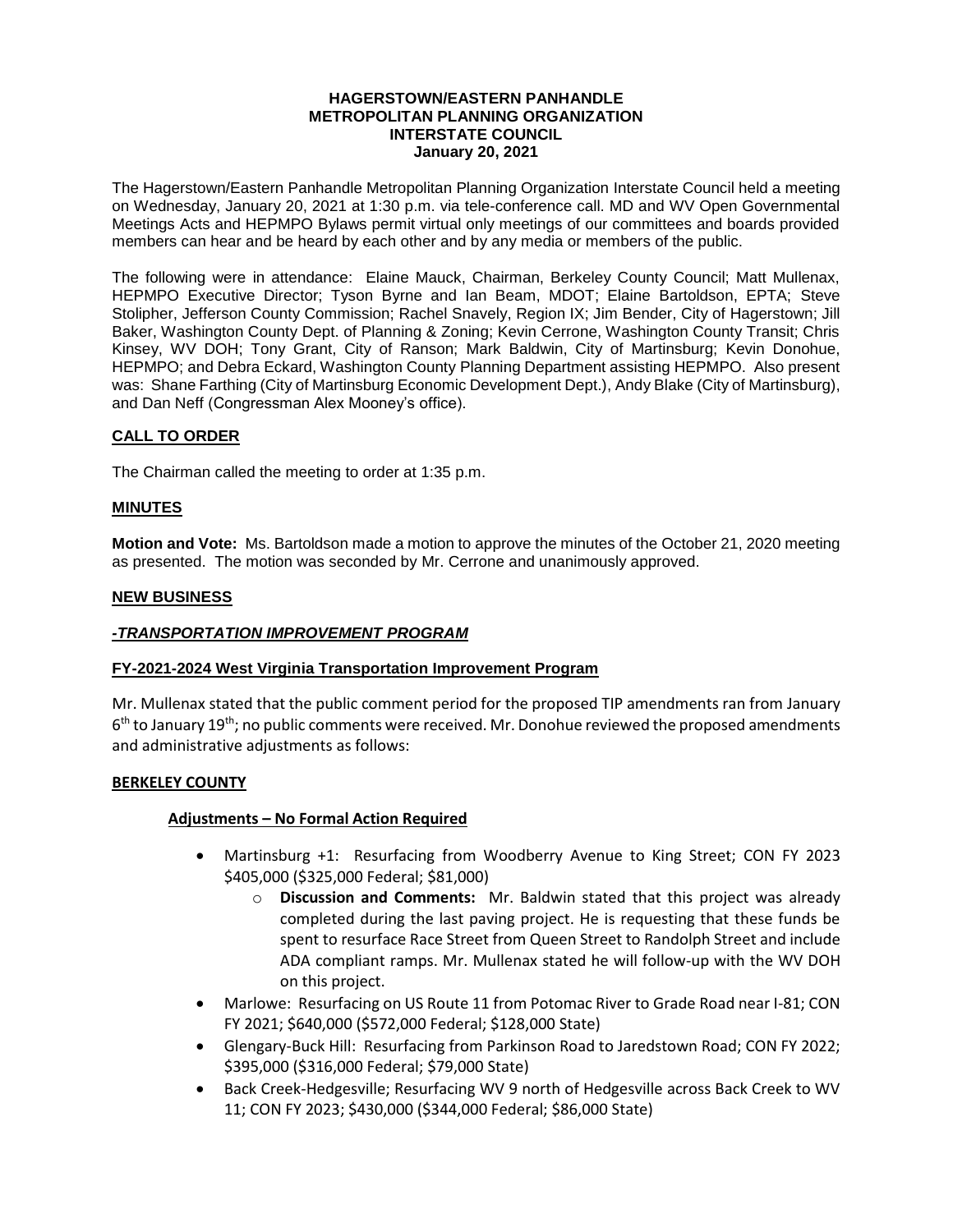#### **HAGERSTOWN/EASTERN PANHANDLE METROPOLITAN PLANNING ORGANIZATION INTERSTATE COUNCIL January 20, 2021**

The Hagerstown/Eastern Panhandle Metropolitan Planning Organization Interstate Council held a meeting on Wednesday, January 20, 2021 at 1:30 p.m. via tele-conference call. MD and WV Open Governmental Meetings Acts and HEPMPO Bylaws permit virtual only meetings of our committees and boards provided members can hear and be heard by each other and by any media or members of the public.

The following were in attendance: Elaine Mauck, Chairman, Berkeley County Council; Matt Mullenax, HEPMPO Executive Director; Tyson Byrne and Ian Beam, MDOT; Elaine Bartoldson, EPTA; Steve Stolipher, Jefferson County Commission; Rachel Snavely, Region IX; Jim Bender, City of Hagerstown; Jill Baker, Washington County Dept. of Planning & Zoning; Kevin Cerrone, Washington County Transit; Chris Kinsey, WV DOH; Tony Grant, City of Ranson; Mark Baldwin, City of Martinsburg; Kevin Donohue, HEPMPO; and Debra Eckard, Washington County Planning Department assisting HEPMPO. Also present was: Shane Farthing (City of Martinsburg Economic Development Dept.), Andy Blake (City of Martinsburg), and Dan Neff (Congressman Alex Mooney's office).

## **CALL TO ORDER**

The Chairman called the meeting to order at 1:35 p.m.

#### **MINUTES**

**Motion and Vote:** Ms. Bartoldson made a motion to approve the minutes of the October 21, 2020 meeting as presented. The motion was seconded by Mr. Cerrone and unanimously approved.

#### **NEW BUSINESS**

### *-TRANSPORTATION IMPROVEMENT PROGRAM*

#### **FY-2021-2024 West Virginia Transportation Improvement Program**

Mr. Mullenax stated that the public comment period for the proposed TIP amendments ran from January 6<sup>th</sup> to January 19<sup>th</sup>; no public comments were received. Mr. Donohue reviewed the proposed amendments and administrative adjustments as follows:

#### **BERKELEY COUNTY**

### **Adjustments – No Formal Action Required**

- Martinsburg +1: Resurfacing from Woodberry Avenue to King Street; CON FY 2023 \$405,000 (\$325,000 Federal; \$81,000)
	- o **Discussion and Comments:** Mr. Baldwin stated that this project was already completed during the last paving project. He is requesting that these funds be spent to resurface Race Street from Queen Street to Randolph Street and include ADA compliant ramps. Mr. Mullenax stated he will follow-up with the WV DOH on this project.
- Marlowe: Resurfacing on US Route 11 from Potomac River to Grade Road near I-81; CON FY 2021; \$640,000 (\$572,000 Federal; \$128,000 State)
- Glengary-Buck Hill: Resurfacing from Parkinson Road to Jaredstown Road; CON FY 2022; \$395,000 (\$316,000 Federal; \$79,000 State)
- Back Creek-Hedgesville; Resurfacing WV 9 north of Hedgesville across Back Creek to WV 11; CON FY 2023; \$430,000 (\$344,000 Federal; \$86,000 State)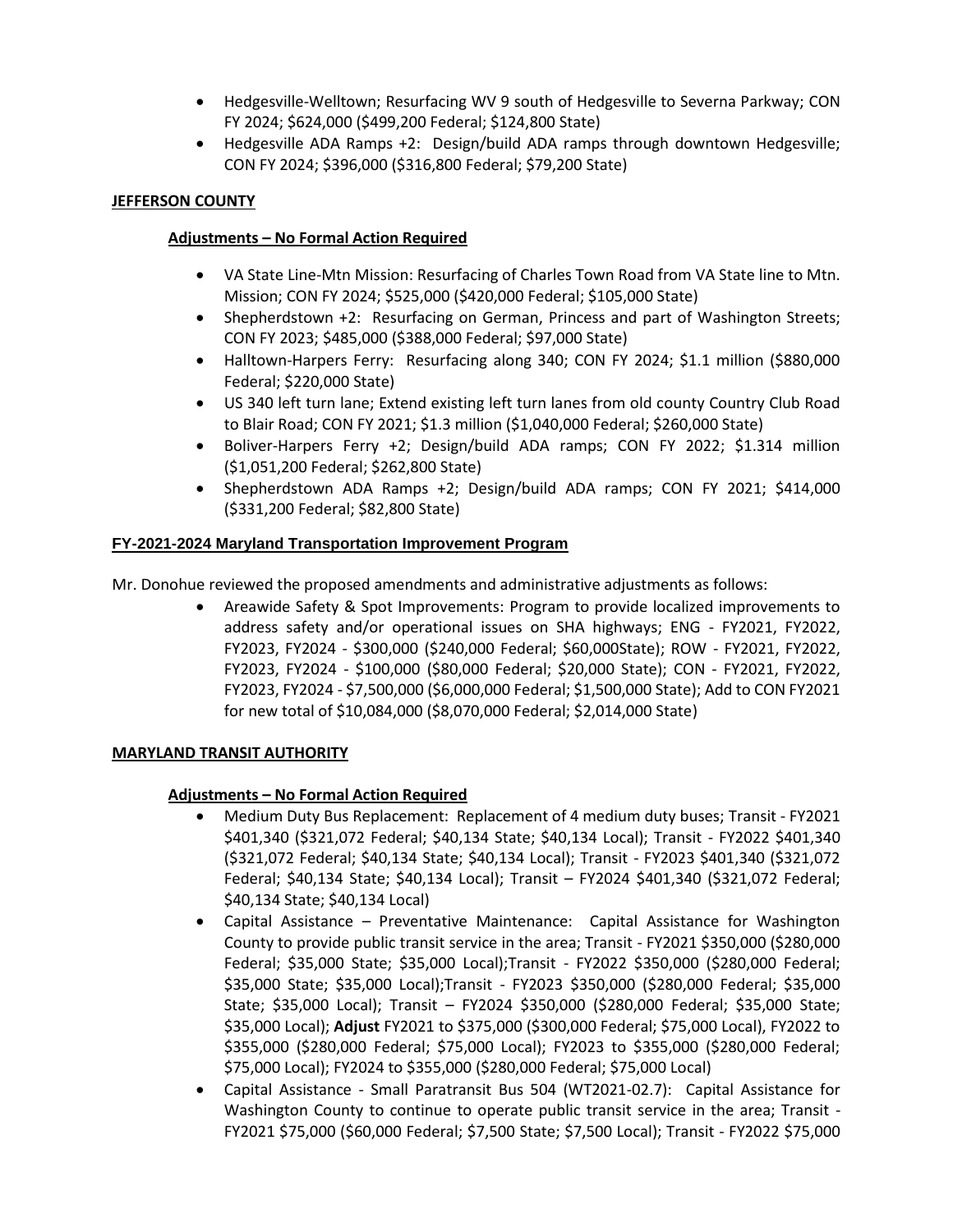- Hedgesville-Welltown; Resurfacing WV 9 south of Hedgesville to Severna Parkway; CON FY 2024; \$624,000 (\$499,200 Federal; \$124,800 State)
- Hedgesville ADA Ramps +2: Design/build ADA ramps through downtown Hedgesville; CON FY 2024; \$396,000 (\$316,800 Federal; \$79,200 State)

## **JEFFERSON COUNTY**

## **Adjustments – No Formal Action Required**

- VA State Line-Mtn Mission: Resurfacing of Charles Town Road from VA State line to Mtn. Mission; CON FY 2024; \$525,000 (\$420,000 Federal; \$105,000 State)
- Shepherdstown +2: Resurfacing on German, Princess and part of Washington Streets; CON FY 2023; \$485,000 (\$388,000 Federal; \$97,000 State)
- Halltown-Harpers Ferry: Resurfacing along 340; CON FY 2024; \$1.1 million (\$880,000 Federal; \$220,000 State)
- US 340 left turn lane; Extend existing left turn lanes from old county Country Club Road to Blair Road; CON FY 2021; \$1.3 million (\$1,040,000 Federal; \$260,000 State)
- Boliver-Harpers Ferry +2; Design/build ADA ramps; CON FY 2022; \$1.314 million (\$1,051,200 Federal; \$262,800 State)
- Shepherdstown ADA Ramps +2; Design/build ADA ramps; CON FY 2021; \$414,000 (\$331,200 Federal; \$82,800 State)

## **FY-2021-2024 Maryland Transportation Improvement Program**

Mr. Donohue reviewed the proposed amendments and administrative adjustments as follows:

 Areawide Safety & Spot Improvements: Program to provide localized improvements to address safety and/or operational issues on SHA highways; ENG - FY2021, FY2022, FY2023, FY2024 - \$300,000 (\$240,000 Federal; \$60,000State); ROW - FY2021, FY2022, FY2023, FY2024 - \$100,000 (\$80,000 Federal; \$20,000 State); CON - FY2021, FY2022, FY2023, FY2024 - \$7,500,000 (\$6,000,000 Federal; \$1,500,000 State); Add to CON FY2021 for new total of \$10,084,000 (\$8,070,000 Federal; \$2,014,000 State)

### **MARYLAND TRANSIT AUTHORITY**

### **Adjustments – No Formal Action Required**

- Medium Duty Bus Replacement: Replacement of 4 medium duty buses; Transit FY2021 \$401,340 (\$321,072 Federal; \$40,134 State; \$40,134 Local); Transit - FY2022 \$401,340 (\$321,072 Federal; \$40,134 State; \$40,134 Local); Transit - FY2023 \$401,340 (\$321,072 Federal; \$40,134 State; \$40,134 Local); Transit – FY2024 \$401,340 (\$321,072 Federal; \$40,134 State; \$40,134 Local)
- Capital Assistance Preventative Maintenance: Capital Assistance for Washington County to provide public transit service in the area; Transit - FY2021 \$350,000 (\$280,000 Federal; \$35,000 State; \$35,000 Local);Transit - FY2022 \$350,000 (\$280,000 Federal; \$35,000 State; \$35,000 Local);Transit - FY2023 \$350,000 (\$280,000 Federal; \$35,000 State; \$35,000 Local); Transit – FY2024 \$350,000 (\$280,000 Federal; \$35,000 State; \$35,000 Local); **Adjust** FY2021 to \$375,000 (\$300,000 Federal; \$75,000 Local), FY2022 to \$355,000 (\$280,000 Federal; \$75,000 Local); FY2023 to \$355,000 (\$280,000 Federal; \$75,000 Local); FY2024 to \$355,000 (\$280,000 Federal; \$75,000 Local)
- Capital Assistance Small Paratransit Bus 504 (WT2021-02.7): Capital Assistance for Washington County to continue to operate public transit service in the area; Transit -FY2021 \$75,000 (\$60,000 Federal; \$7,500 State; \$7,500 Local); Transit - FY2022 \$75,000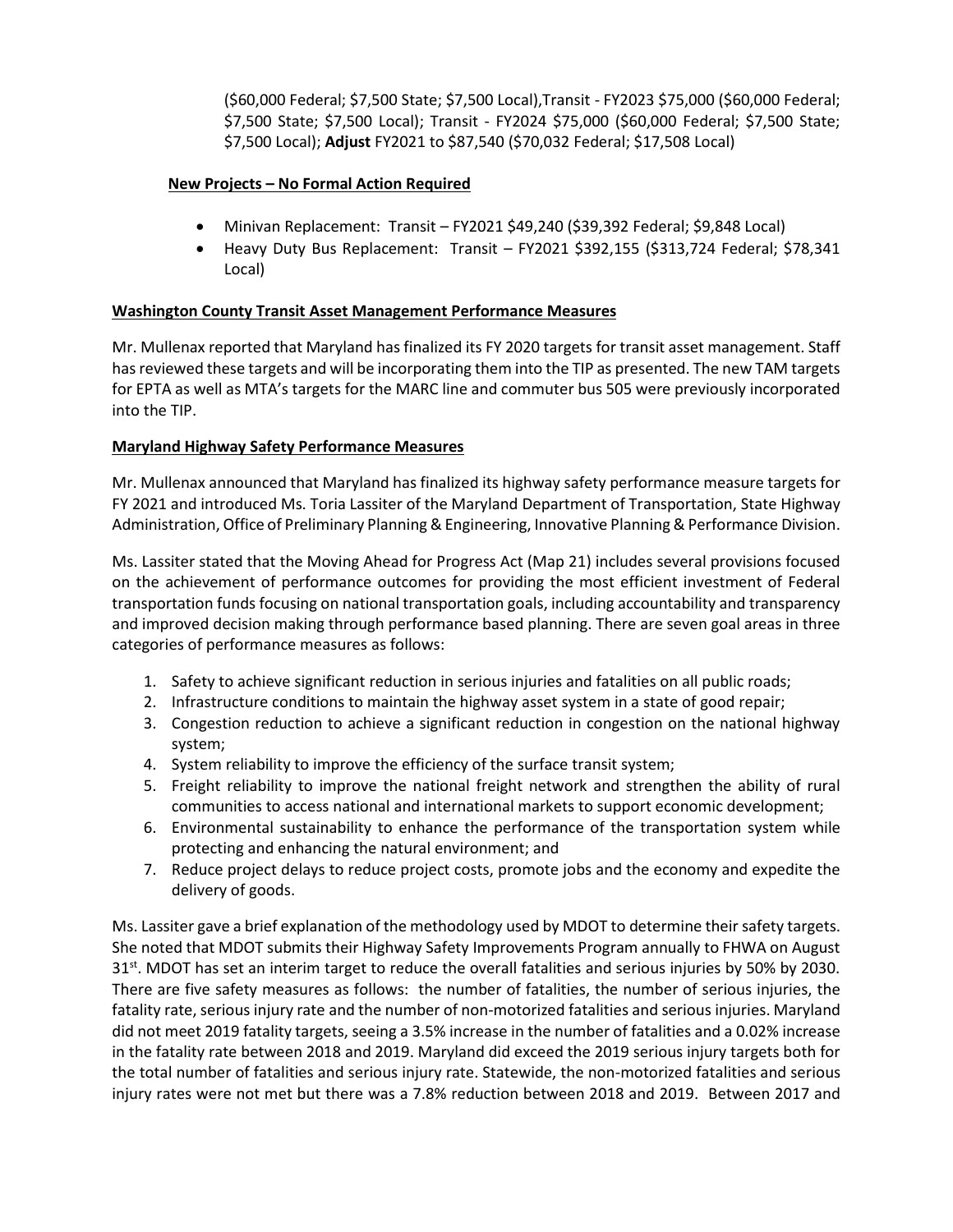(\$60,000 Federal; \$7,500 State; \$7,500 Local),Transit - FY2023 \$75,000 (\$60,000 Federal; \$7,500 State; \$7,500 Local); Transit - FY2024 \$75,000 (\$60,000 Federal; \$7,500 State; \$7,500 Local); **Adjust** FY2021 to \$87,540 (\$70,032 Federal; \$17,508 Local)

## **New Projects – No Formal Action Required**

- Minivan Replacement: Transit FY2021 \$49,240 (\$39,392 Federal; \$9,848 Local)
- Heavy Duty Bus Replacement: Transit FY2021 \$392,155 (\$313,724 Federal; \$78,341 Local)

## **Washington County Transit Asset Management Performance Measures**

Mr. Mullenax reported that Maryland has finalized its FY 2020 targets for transit asset management. Staff has reviewed these targets and will be incorporating them into the TIP as presented. The new TAM targets for EPTA as well as MTA's targets for the MARC line and commuter bus 505 were previously incorporated into the TIP.

## **Maryland Highway Safety Performance Measures**

Mr. Mullenax announced that Maryland has finalized its highway safety performance measure targets for FY 2021 and introduced Ms. Toria Lassiter of the Maryland Department of Transportation, State Highway Administration, Office of Preliminary Planning & Engineering, Innovative Planning & Performance Division.

Ms. Lassiter stated that the Moving Ahead for Progress Act (Map 21) includes several provisions focused on the achievement of performance outcomes for providing the most efficient investment of Federal transportation funds focusing on national transportation goals, including accountability and transparency and improved decision making through performance based planning. There are seven goal areas in three categories of performance measures as follows:

- 1. Safety to achieve significant reduction in serious injuries and fatalities on all public roads;
- 2. Infrastructure conditions to maintain the highway asset system in a state of good repair;
- 3. Congestion reduction to achieve a significant reduction in congestion on the national highway system;
- 4. System reliability to improve the efficiency of the surface transit system;
- 5. Freight reliability to improve the national freight network and strengthen the ability of rural communities to access national and international markets to support economic development;
- 6. Environmental sustainability to enhance the performance of the transportation system while protecting and enhancing the natural environment; and
- 7. Reduce project delays to reduce project costs, promote jobs and the economy and expedite the delivery of goods.

Ms. Lassiter gave a brief explanation of the methodology used by MDOT to determine their safety targets. She noted that MDOT submits their Highway Safety Improvements Program annually to FHWA on August  $31<sup>st</sup>$ . MDOT has set an interim target to reduce the overall fatalities and serious injuries by 50% by 2030. There are five safety measures as follows: the number of fatalities, the number of serious injuries, the fatality rate, serious injury rate and the number of non-motorized fatalities and serious injuries. Maryland did not meet 2019 fatality targets, seeing a 3.5% increase in the number of fatalities and a 0.02% increase in the fatality rate between 2018 and 2019. Maryland did exceed the 2019 serious injury targets both for the total number of fatalities and serious injury rate. Statewide, the non-motorized fatalities and serious injury rates were not met but there was a 7.8% reduction between 2018 and 2019. Between 2017 and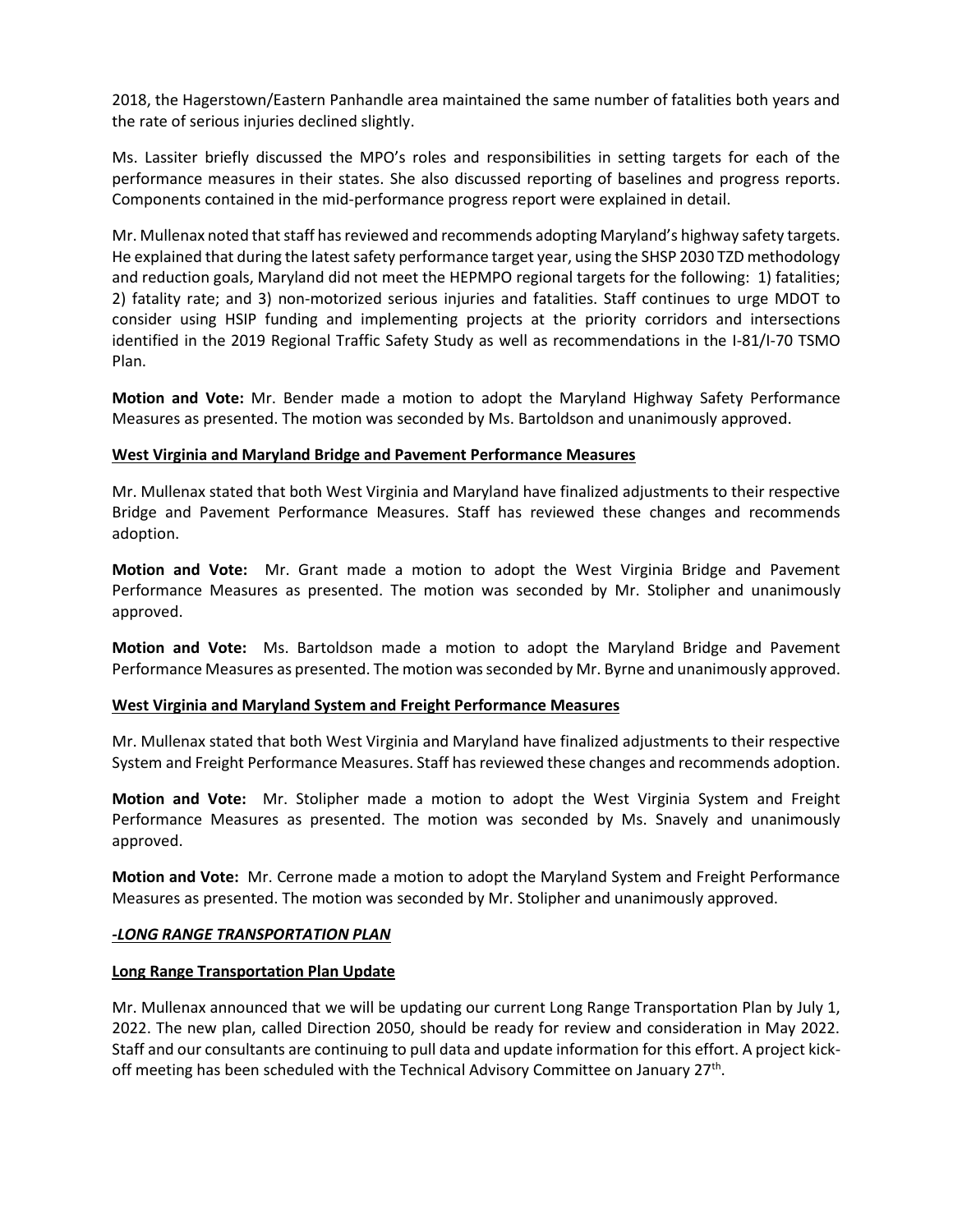2018, the Hagerstown/Eastern Panhandle area maintained the same number of fatalities both years and the rate of serious injuries declined slightly.

Ms. Lassiter briefly discussed the MPO's roles and responsibilities in setting targets for each of the performance measures in their states. She also discussed reporting of baselines and progress reports. Components contained in the mid-performance progress report were explained in detail.

Mr. Mullenax noted that staff has reviewed and recommends adopting Maryland's highway safety targets. He explained that during the latest safety performance target year, using the SHSP 2030 TZD methodology and reduction goals, Maryland did not meet the HEPMPO regional targets for the following: 1) fatalities; 2) fatality rate; and 3) non-motorized serious injuries and fatalities. Staff continues to urge MDOT to consider using HSIP funding and implementing projects at the priority corridors and intersections identified in the 2019 Regional Traffic Safety Study as well as recommendations in the I-81/I-70 TSMO Plan.

**Motion and Vote:** Mr. Bender made a motion to adopt the Maryland Highway Safety Performance Measures as presented. The motion was seconded by Ms. Bartoldson and unanimously approved.

#### **West Virginia and Maryland Bridge and Pavement Performance Measures**

Mr. Mullenax stated that both West Virginia and Maryland have finalized adjustments to their respective Bridge and Pavement Performance Measures. Staff has reviewed these changes and recommends adoption.

**Motion and Vote:** Mr. Grant made a motion to adopt the West Virginia Bridge and Pavement Performance Measures as presented. The motion was seconded by Mr. Stolipher and unanimously approved.

**Motion and Vote:** Ms. Bartoldson made a motion to adopt the Maryland Bridge and Pavement Performance Measures as presented. The motion was seconded by Mr. Byrne and unanimously approved.

### **West Virginia and Maryland System and Freight Performance Measures**

Mr. Mullenax stated that both West Virginia and Maryland have finalized adjustments to their respective System and Freight Performance Measures. Staff has reviewed these changes and recommends adoption.

**Motion and Vote:** Mr. Stolipher made a motion to adopt the West Virginia System and Freight Performance Measures as presented. The motion was seconded by Ms. Snavely and unanimously approved.

**Motion and Vote:** Mr. Cerrone made a motion to adopt the Maryland System and Freight Performance Measures as presented. The motion was seconded by Mr. Stolipher and unanimously approved.

#### *-LONG RANGE TRANSPORTATION PLAN*

### **Long Range Transportation Plan Update**

Mr. Mullenax announced that we will be updating our current Long Range Transportation Plan by July 1, 2022. The new plan, called Direction 2050, should be ready for review and consideration in May 2022. Staff and our consultants are continuing to pull data and update information for this effort. A project kickoff meeting has been scheduled with the Technical Advisory Committee on January 27<sup>th</sup>.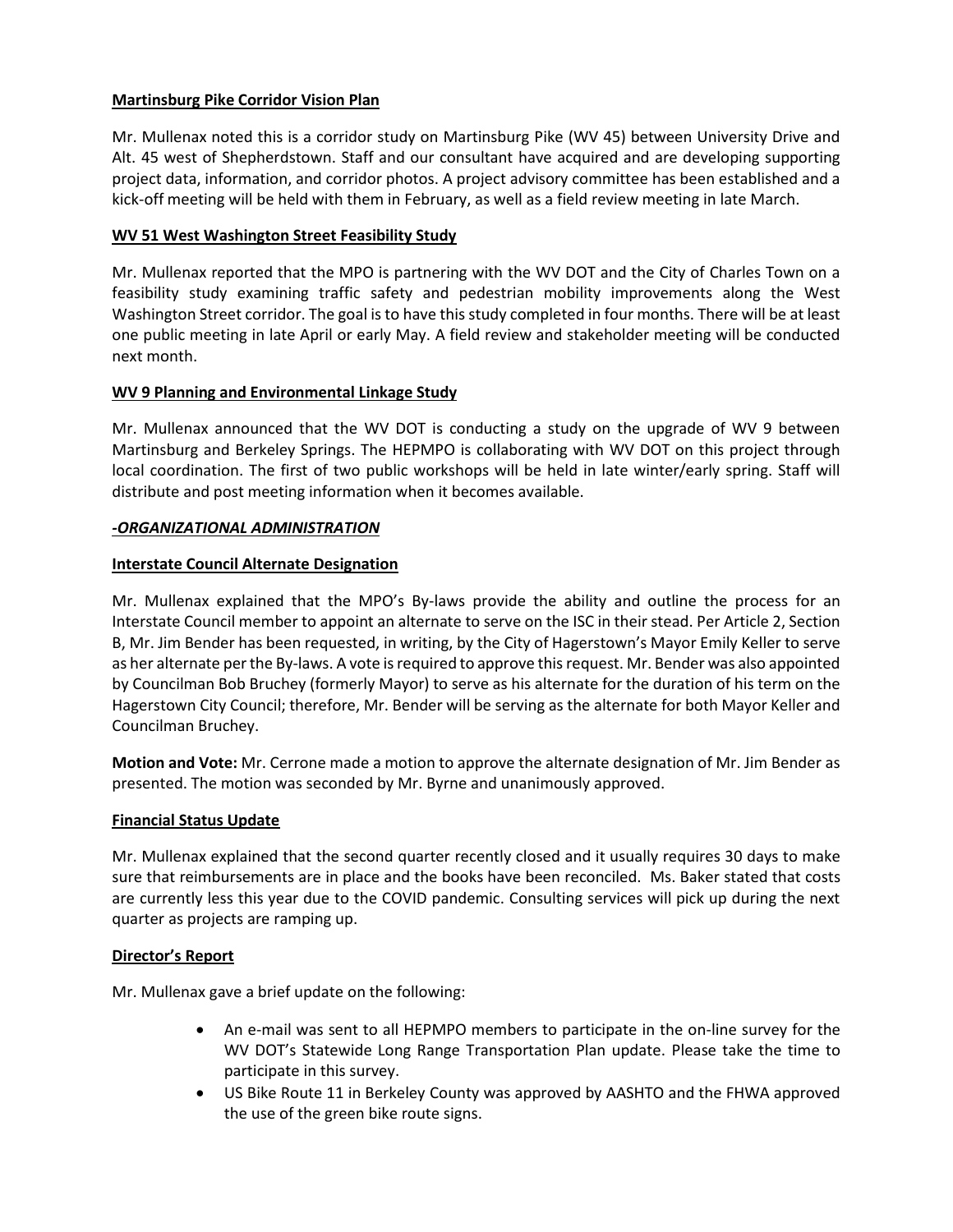## **Martinsburg Pike Corridor Vision Plan**

Mr. Mullenax noted this is a corridor study on Martinsburg Pike (WV 45) between University Drive and Alt. 45 west of Shepherdstown. Staff and our consultant have acquired and are developing supporting project data, information, and corridor photos. A project advisory committee has been established and a kick-off meeting will be held with them in February, as well as a field review meeting in late March.

### **WV 51 West Washington Street Feasibility Study**

Mr. Mullenax reported that the MPO is partnering with the WV DOT and the City of Charles Town on a feasibility study examining traffic safety and pedestrian mobility improvements along the West Washington Street corridor. The goal is to have this study completed in four months. There will be at least one public meeting in late April or early May. A field review and stakeholder meeting will be conducted next month.

## **WV 9 Planning and Environmental Linkage Study**

Mr. Mullenax announced that the WV DOT is conducting a study on the upgrade of WV 9 between Martinsburg and Berkeley Springs. The HEPMPO is collaborating with WV DOT on this project through local coordination. The first of two public workshops will be held in late winter/early spring. Staff will distribute and post meeting information when it becomes available.

### *-ORGANIZATIONAL ADMINISTRATION*

## **Interstate Council Alternate Designation**

Mr. Mullenax explained that the MPO's By-laws provide the ability and outline the process for an Interstate Council member to appoint an alternate to serve on the ISC in their stead. Per Article 2, Section B, Mr. Jim Bender has been requested, in writing, by the City of Hagerstown's Mayor Emily Keller to serve as her alternate per the By-laws. A vote is required to approve this request. Mr. Bender was also appointed by Councilman Bob Bruchey (formerly Mayor) to serve as his alternate for the duration of his term on the Hagerstown City Council; therefore, Mr. Bender will be serving as the alternate for both Mayor Keller and Councilman Bruchey.

**Motion and Vote:** Mr. Cerrone made a motion to approve the alternate designation of Mr. Jim Bender as presented. The motion was seconded by Mr. Byrne and unanimously approved.

### **Financial Status Update**

Mr. Mullenax explained that the second quarter recently closed and it usually requires 30 days to make sure that reimbursements are in place and the books have been reconciled. Ms. Baker stated that costs are currently less this year due to the COVID pandemic. Consulting services will pick up during the next quarter as projects are ramping up.

### **Director's Report**

Mr. Mullenax gave a brief update on the following:

- An e-mail was sent to all HEPMPO members to participate in the on-line survey for the WV DOT's Statewide Long Range Transportation Plan update. Please take the time to participate in this survey.
- US Bike Route 11 in Berkeley County was approved by AASHTO and the FHWA approved the use of the green bike route signs.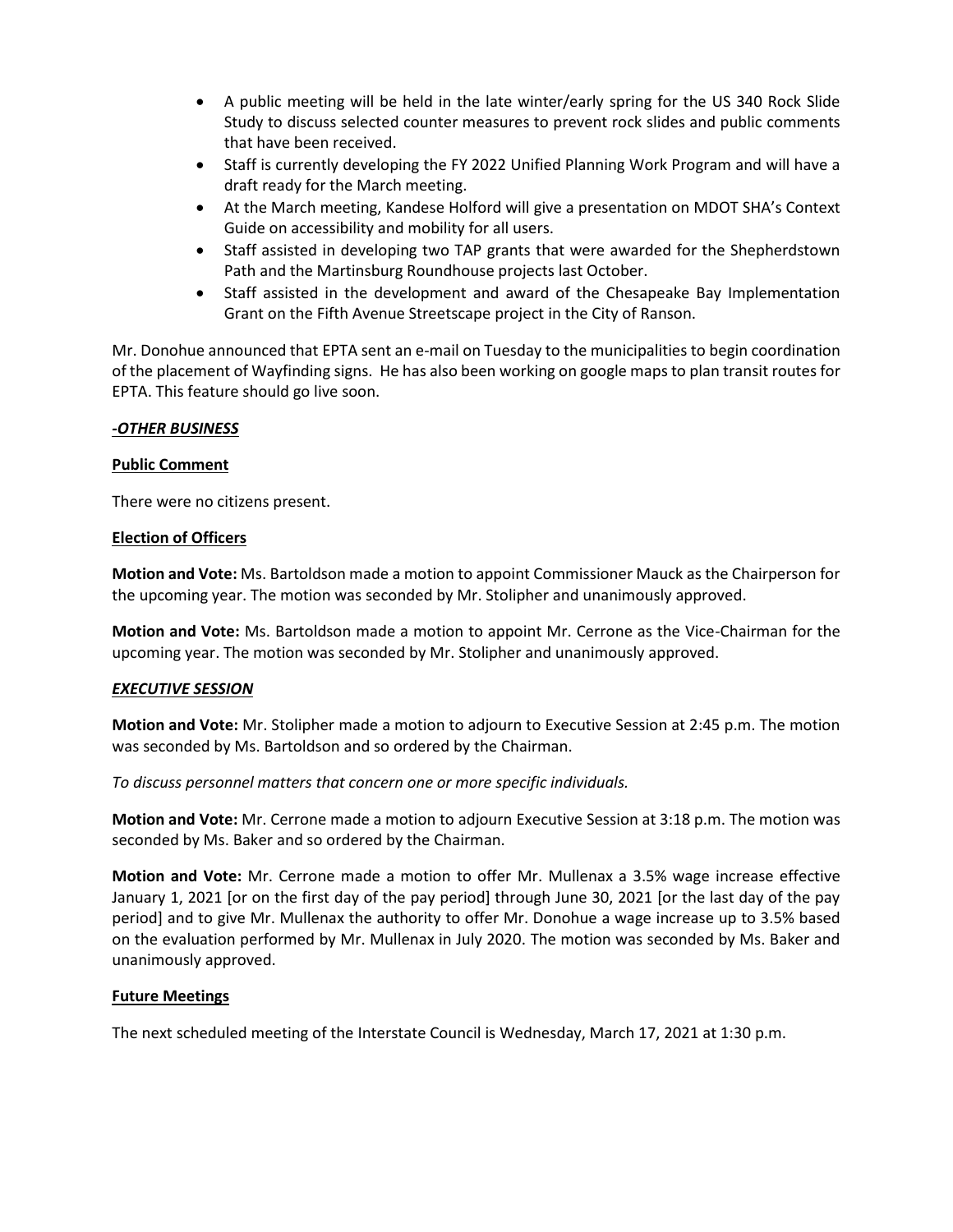- A public meeting will be held in the late winter/early spring for the US 340 Rock Slide Study to discuss selected counter measures to prevent rock slides and public comments that have been received.
- Staff is currently developing the FY 2022 Unified Planning Work Program and will have a draft ready for the March meeting.
- At the March meeting, Kandese Holford will give a presentation on MDOT SHA's Context Guide on accessibility and mobility for all users.
- Staff assisted in developing two TAP grants that were awarded for the Shepherdstown Path and the Martinsburg Roundhouse projects last October.
- Staff assisted in the development and award of the Chesapeake Bay Implementation Grant on the Fifth Avenue Streetscape project in the City of Ranson.

Mr. Donohue announced that EPTA sent an e-mail on Tuesday to the municipalities to begin coordination of the placement of Wayfinding signs. He has also been working on google maps to plan transit routes for EPTA. This feature should go live soon.

### *-OTHER BUSINESS*

### **Public Comment**

There were no citizens present.

### **Election of Officers**

**Motion and Vote:** Ms. Bartoldson made a motion to appoint Commissioner Mauck as the Chairperson for the upcoming year. The motion was seconded by Mr. Stolipher and unanimously approved.

**Motion and Vote:** Ms. Bartoldson made a motion to appoint Mr. Cerrone as the Vice-Chairman for the upcoming year. The motion was seconded by Mr. Stolipher and unanimously approved.

### *EXECUTIVE SESSION*

**Motion and Vote:** Mr. Stolipher made a motion to adjourn to Executive Session at 2:45 p.m. The motion was seconded by Ms. Bartoldson and so ordered by the Chairman.

*To discuss personnel matters that concern one or more specific individuals.*

**Motion and Vote:** Mr. Cerrone made a motion to adjourn Executive Session at 3:18 p.m. The motion was seconded by Ms. Baker and so ordered by the Chairman.

**Motion and Vote:** Mr. Cerrone made a motion to offer Mr. Mullenax a 3.5% wage increase effective January 1, 2021 [or on the first day of the pay period] through June 30, 2021 [or the last day of the pay period] and to give Mr. Mullenax the authority to offer Mr. Donohue a wage increase up to 3.5% based on the evaluation performed by Mr. Mullenax in July 2020. The motion was seconded by Ms. Baker and unanimously approved.

### **Future Meetings**

The next scheduled meeting of the Interstate Council is Wednesday, March 17, 2021 at 1:30 p.m.